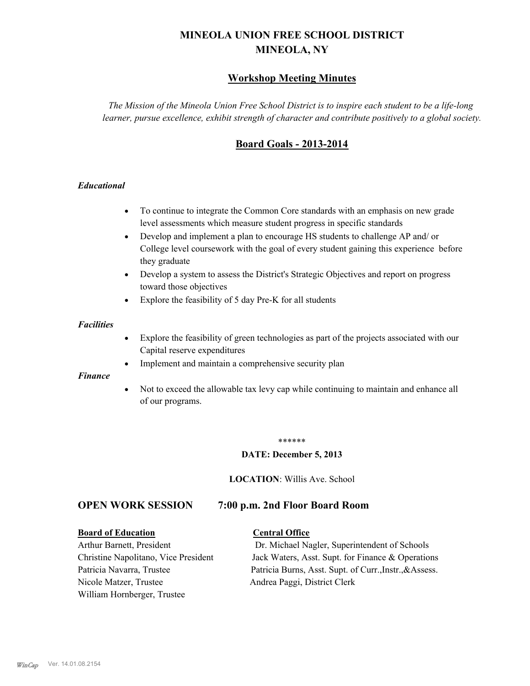# **MINEOLA UNION FREE SCHOOL DISTRICT MINEOLA, NY**

## **Workshop Meeting Minutes**

*The Mission of the Mineola Union Free School District is to inspire each student to be a life-long learner, pursue excellence, exhibit strength of character and contribute positively to a global society.*

## **Board Goals - 2013-2014**

## *Educational*

- · To continue to integrate the Common Core standards with an emphasis on new grade level assessments which measure student progress in specific standards
- · Develop and implement a plan to encourage HS students to challenge AP and/ or College level coursework with the goal of every student gaining this experience before they graduate
- Develop a system to assess the District's Strategic Objectives and report on progress toward those objectives
- · Explore the feasibility of 5 day Pre-K for all students

#### *Facilities*

- · Explore the feasibility of green technologies as part of the projects associated with our Capital reserve expenditures
- Implement and maintain a comprehensive security plan

#### *Finance*

• Not to exceed the allowable tax levy cap while continuing to maintain and enhance all of our programs.

#### \*\*\*\*\*\*

#### **DATE: December 5, 2013**

**LOCATION**: Willis Ave. School

## **OPEN WORK SESSION 7:00 p.m. 2nd Floor Board Room**

#### **Board of Education Central Office**

Nicole Matzer, Trustee Andrea Paggi, District Clerk William Hornberger, Trustee

Arthur Barnett, President Dr. Michael Nagler, Superintendent of Schools Christine Napolitano, Vice President Jack Waters, Asst. Supt. for Finance & Operations Patricia Navarra, Trustee Patricia Burns, Asst. Supt. of Curr., Instr., &Assess.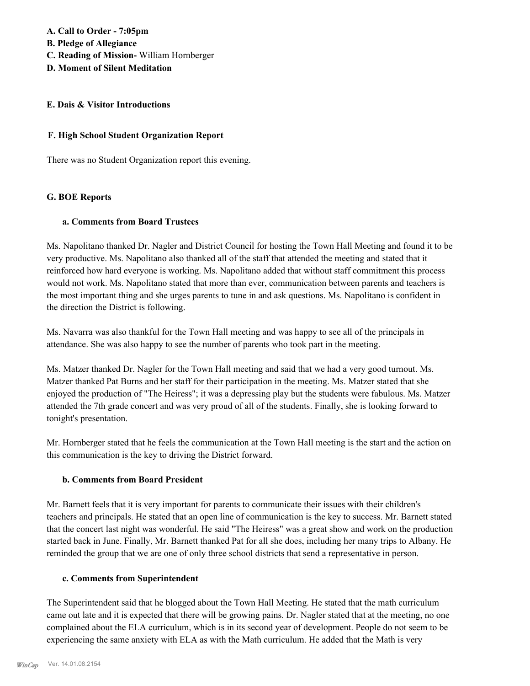**A. Call to Order - 7:05pm B. Pledge of Allegiance C. Reading of Mission-** William Hornberger **D. Moment of Silent Meditation**

### **E. Dais & Visitor Introductions**

### **F. High School Student Organization Report**

There was no Student Organization report this evening.

#### **G. BOE Reports**

#### **a. Comments from Board Trustees**

Ms. Napolitano thanked Dr. Nagler and District Council for hosting the Town Hall Meeting and found it to be very productive. Ms. Napolitano also thanked all of the staff that attended the meeting and stated that it reinforced how hard everyone is working. Ms. Napolitano added that without staff commitment this process would not work. Ms. Napolitano stated that more than ever, communication between parents and teachers is the most important thing and she urges parents to tune in and ask questions. Ms. Napolitano is confident in the direction the District is following.

Ms. Navarra was also thankful for the Town Hall meeting and was happy to see all of the principals in attendance. She was also happy to see the number of parents who took part in the meeting.

Ms. Matzer thanked Dr. Nagler for the Town Hall meeting and said that we had a very good turnout. Ms. Matzer thanked Pat Burns and her staff for their participation in the meeting. Ms. Matzer stated that she enjoyed the production of "The Heiress"; it was a depressing play but the students were fabulous. Ms. Matzer attended the 7th grade concert and was very proud of all of the students. Finally, she is looking forward to tonight's presentation.

Mr. Hornberger stated that he feels the communication at the Town Hall meeting is the start and the action on this communication is the key to driving the District forward.

#### **b. Comments from Board President**

Mr. Barnett feels that it is very important for parents to communicate their issues with their children's teachers and principals. He stated that an open line of communication is the key to success. Mr. Barnett stated that the concert last night was wonderful. He said "The Heiress" was a great show and work on the production started back in June. Finally, Mr. Barnett thanked Pat for all she does, including her many trips to Albany. He reminded the group that we are one of only three school districts that send a representative in person.

#### **c. Comments from Superintendent**

The Superintendent said that he blogged about the Town Hall Meeting. He stated that the math curriculum came out late and it is expected that there will be growing pains. Dr. Nagler stated that at the meeting, no one complained about the ELA curriculum, which is in its second year of development. People do not seem to be experiencing the same anxiety with ELA as with the Math curriculum. He added that the Math is very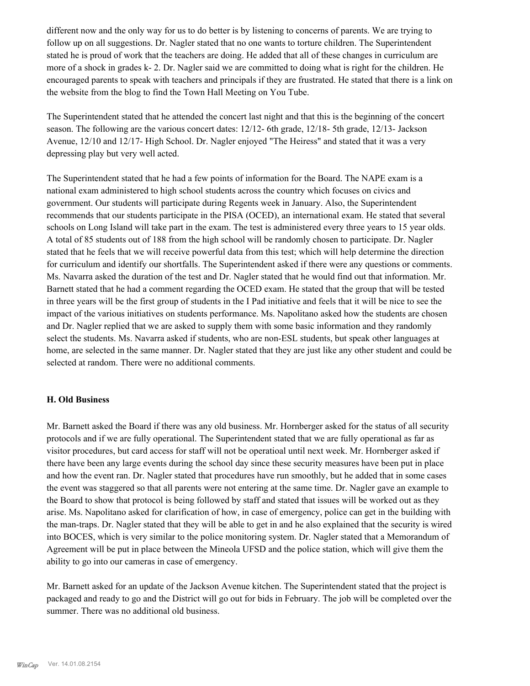different now and the only way for us to do better is by listening to concerns of parents. We are trying to follow up on all suggestions. Dr. Nagler stated that no one wants to torture children. The Superintendent stated he is proud of work that the teachers are doing. He added that all of these changes in curriculum are more of a shock in grades k- 2. Dr. Nagler said we are committed to doing what is right for the children. He encouraged parents to speak with teachers and principals if they are frustrated. He stated that there is a link on the website from the blog to find the Town Hall Meeting on You Tube.

The Superintendent stated that he attended the concert last night and that this is the beginning of the concert season. The following are the various concert dates: 12/12- 6th grade, 12/18- 5th grade, 12/13- Jackson Avenue, 12/10 and 12/17- High School. Dr. Nagler enjoyed "The Heiress" and stated that it was a very depressing play but very well acted.

The Superintendent stated that he had a few points of information for the Board. The NAPE exam is a national exam administered to high school students across the country which focuses on civics and government. Our students will participate during Regents week in January. Also, the Superintendent recommends that our students participate in the PISA (OCED), an international exam. He stated that several schools on Long Island will take part in the exam. The test is administered every three years to 15 year olds. A total of 85 students out of 188 from the high school will be randomly chosen to participate. Dr. Nagler stated that he feels that we will receive powerful data from this test; which will help determine the direction for curriculum and identify our shortfalls. The Superintendent asked if there were any questions or comments. Ms. Navarra asked the duration of the test and Dr. Nagler stated that he would find out that information. Mr. Barnett stated that he had a comment regarding the OCED exam. He stated that the group that will be tested in three years will be the first group of students in the I Pad initiative and feels that it will be nice to see the impact of the various initiatives on students performance. Ms. Napolitano asked how the students are chosen and Dr. Nagler replied that we are asked to supply them with some basic information and they randomly select the students. Ms. Navarra asked if students, who are non-ESL students, but speak other languages at home, are selected in the same manner. Dr. Nagler stated that they are just like any other student and could be selected at random. There were no additional comments.

## **H. Old Business**

Mr. Barnett asked the Board if there was any old business. Mr. Hornberger asked for the status of all security protocols and if we are fully operational. The Superintendent stated that we are fully operational as far as visitor procedures, but card access for staff will not be operatioal until next week. Mr. Hornberger asked if there have been any large events during the school day since these security measures have been put in place and how the event ran. Dr. Nagler stated that procedures have run smoothly, but he added that in some cases the event was staggered so that all parents were not entering at the same time. Dr. Nagler gave an example to the Board to show that protocol is being followed by staff and stated that issues will be worked out as they arise. Ms. Napolitano asked for clarification of how, in case of emergency, police can get in the building with the man-traps. Dr. Nagler stated that they will be able to get in and he also explained that the security is wired into BOCES, which is very similar to the police monitoring system. Dr. Nagler stated that a Memorandum of Agreement will be put in place between the Mineola UFSD and the police station, which will give them the ability to go into our cameras in case of emergency.

Mr. Barnett asked for an update of the Jackson Avenue kitchen. The Superintendent stated that the project is packaged and ready to go and the District will go out for bids in February. The job will be completed over the summer. There was no additional old business.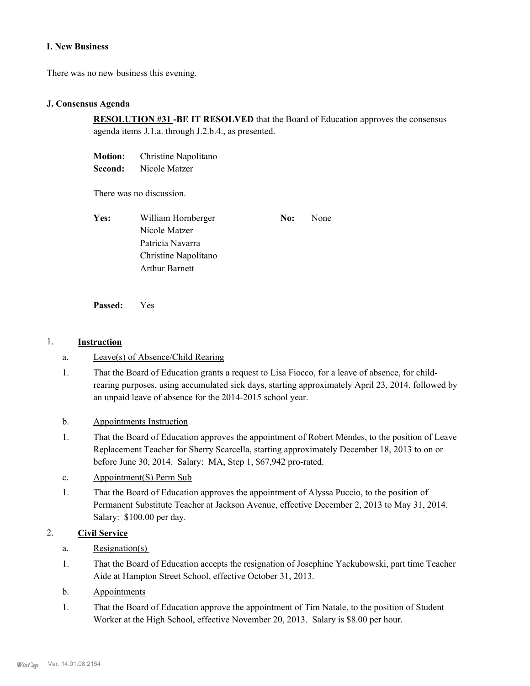#### **I. New Business**

There was no new business this evening.

#### **J. Consensus Agenda**

**RESOLUTION #31 -BE IT RESOLVED** that the Board of Education approves the consensus agenda items J.1.a. through J.2.b.4., as presented.

**Motion:** Christine Napolitano

**Second:** Nicole Matzer

There was no discussion.

| Yes: | William Hornberger    | No: | None |
|------|-----------------------|-----|------|
|      | Nicole Matzer         |     |      |
|      | Patricia Navarra      |     |      |
|      | Christine Napolitano  |     |      |
|      | <b>Arthur Barnett</b> |     |      |

**Passed:** Yes

#### 1. **Instruction**

- a. Leave(s) of Absence/Child Rearing
- That the Board of Education grants a request to Lisa Fiocco, for a leave of absence, for childrearing purposes, using accumulated sick days, starting approximately April 23, 2014, followed by an unpaid leave of absence for the 2014-2015 school year. 1.
- b. Appointments Instruction
- That the Board of Education approves the appointment of Robert Mendes, to the position of Leave Replacement Teacher for Sherry Scarcella, starting approximately December 18, 2013 to on or before June 30, 2014. Salary: MA, Step 1, \$67,942 pro-rated. 1.
- c. Appointment(S) Perm Sub
- That the Board of Education approves the appointment of Alyssa Puccio, to the position of Permanent Substitute Teacher at Jackson Avenue, effective December 2, 2013 to May 31, 2014. Salary: \$100.00 per day. 1.

#### 2. **Civil Service**

- a. Resignation(s)
- That the Board of Education accepts the resignation of Josephine Yackubowski, part time Teacher Aide at Hampton Street School, effective October 31, 2013. 1.
- b. Appointments
- That the Board of Education approve the appointment of Tim Natale, to the position of Student Worker at the High School, effective November 20, 2013. Salary is \$8.00 per hour. 1.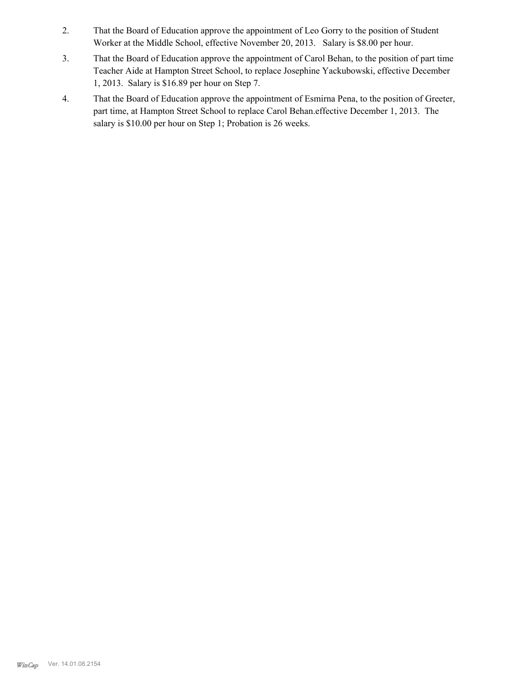- That the Board of Education approve the appointment of Leo Gorry to the position of Student Worker at the Middle School, effective November 20, 2013. Salary is \$8.00 per hour. 2.
- That the Board of Education approve the appointment of Carol Behan, to the position of part time Teacher Aide at Hampton Street School, to replace Josephine Yackubowski, effective December 1, 2013. Salary is \$16.89 per hour on Step 7. 3.
- That the Board of Education approve the appointment of Esmirna Pena, to the position of Greeter, part time, at Hampton Street School to replace Carol Behan.effective December 1, 2013. The salary is \$10.00 per hour on Step 1; Probation is 26 weeks. 4.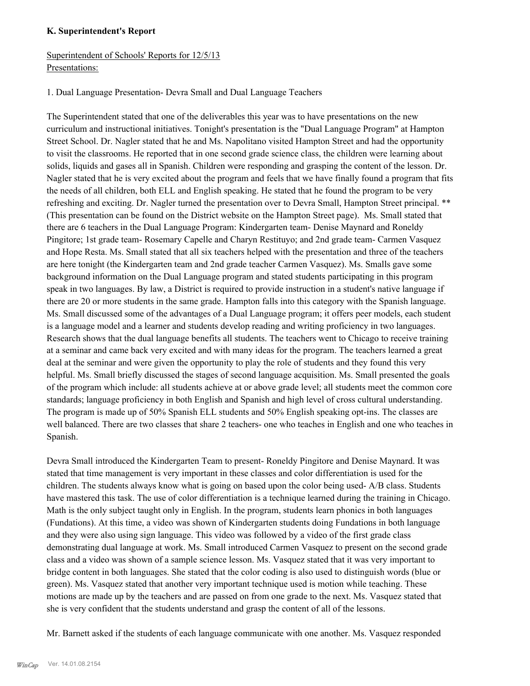## **K. Superintendent's Report**

## Superintendent of Schools' Reports for 12/5/13 Presentations:

## 1. Dual Language Presentation- Devra Small and Dual Language Teachers

The Superintendent stated that one of the deliverables this year was to have presentations on the new curriculum and instructional initiatives. Tonight's presentation is the "Dual Language Program" at Hampton Street School. Dr. Nagler stated that he and Ms. Napolitano visited Hampton Street and had the opportunity to visit the classrooms. He reported that in one second grade science class, the children were learning about solids, liquids and gases all in Spanish. Children were responding and grasping the content of the lesson. Dr. Nagler stated that he is very excited about the program and feels that we have finally found a program that fits the needs of all children, both ELL and English speaking. He stated that he found the program to be very refreshing and exciting. Dr. Nagler turned the presentation over to Devra Small, Hampton Street principal. \*\* (This presentation can be found on the District website on the Hampton Street page). Ms. Small stated that there are 6 teachers in the Dual Language Program: Kindergarten team- Denise Maynard and Roneldy Pingitore; 1st grade team- Rosemary Capelle and Charyn Restituyo; and 2nd grade team- Carmen Vasquez and Hope Resta. Ms. Small stated that all six teachers helped with the presentation and three of the teachers are here tonight (the Kindergarten team and 2nd grade teacher Carmen Vasquez). Ms. Smalls gave some background information on the Dual Language program and stated students participating in this program speak in two languages. By law, a District is required to provide instruction in a student's native language if there are 20 or more students in the same grade. Hampton falls into this category with the Spanish language. Ms. Small discussed some of the advantages of a Dual Language program; it offers peer models, each student is a language model and a learner and students develop reading and writing proficiency in two languages. Research shows that the dual language benefits all students. The teachers went to Chicago to receive training at a seminar and came back very excited and with many ideas for the program. The teachers learned a great deal at the seminar and were given the opportunity to play the role of students and they found this very helpful. Ms. Small briefly discussed the stages of second language acquisition. Ms. Small presented the goals of the program which include: all students achieve at or above grade level; all students meet the common core standards; language proficiency in both English and Spanish and high level of cross cultural understanding. The program is made up of 50% Spanish ELL students and 50% English speaking opt-ins. The classes are well balanced. There are two classes that share 2 teachers- one who teaches in English and one who teaches in Spanish.

Devra Small introduced the Kindergarten Team to present- Roneldy Pingitore and Denise Maynard. It was stated that time management is very important in these classes and color differentiation is used for the children. The students always know what is going on based upon the color being used- A/B class. Students have mastered this task. The use of color differentiation is a technique learned during the training in Chicago. Math is the only subject taught only in English. In the program, students learn phonics in both languages (Fundations). At this time, a video was shown of Kindergarten students doing Fundations in both language and they were also using sign language. This video was followed by a video of the first grade class demonstrating dual language at work. Ms. Small introduced Carmen Vasquez to present on the second grade class and a video was shown of a sample science lesson. Ms. Vasquez stated that it was very important to bridge content in both languages. She stated that the color coding is also used to distinguish words (blue or green). Ms. Vasquez stated that another very important technique used is motion while teaching. These motions are made up by the teachers and are passed on from one grade to the next. Ms. Vasquez stated that she is very confident that the students understand and grasp the content of all of the lessons.

Mr. Barnett asked if the students of each language communicate with one another. Ms. Vasquez responded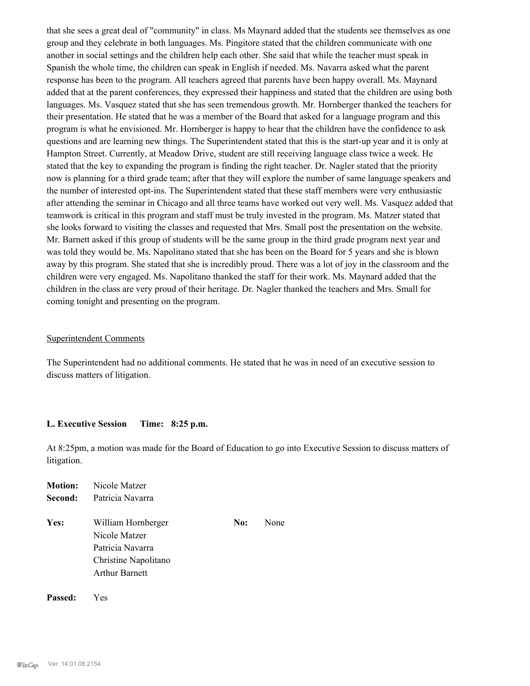that she sees a great deal of "community" in class. Ms Maynard added that the students see themselves as one group and they celebrate in both languages. Ms. Pingitore stated that the children communicate with one another in social settings and the children help each other. She said that while the teacher must speak in Spanish the whole time, the children can speak in English if needed. Ms. Navarra asked what the parent response has been to the program. All teachers agreed that parents have been happy overall. Ms. Maynard added that at the parent conferences, they expressed their happiness and stated that the children are using both languages. Ms. Vasquez stated that she has seen tremendous growth. Mr. Hornberger thanked the teachers for their presentation. He stated that he was a member of the Board that asked for a language program and this program is what he envisioned. Mr. Hornberger is happy to hear that the children have the confidence to ask questions and are learning new things. The Superintendent stated that this is the start-up year and it is only at Hampton Street. Currently, at Meadow Drive, student are still receiving language class twice a week. He stated that the key to expanding the program is finding the right teacher. Dr. Nagler stated that the priority now is planning for a third grade team; after that they will explore the number of same language speakers and the number of interested opt-ins. The Superintendent stated that these staff members were very enthusiastic after attending the seminar in Chicago and all three teams have worked out very well. Ms. Vasquez added that teamwork is critical in this program and staff must be truly invested in the program. Ms. Matzer stated that she looks forward to visiting the classes and requested that Mrs. Small post the presentation on the website. Mr. Barnett asked if this group of students will be the same group in the third grade program next year and was told they would be. Ms. Napolitano stated that she has been on the Board for 5 years and she is blown away by this program. She stated that she is incredibly proud. There was a lot of joy in the classroom and the children were very engaged. Ms. Napolitano thanked the staff for their work. Ms. Maynard added that the children in the class are very proud of their heritage. Dr. Nagler thanked the teachers and Mrs. Small for coming tonight and presenting on the program.

#### Superintendent Comments

The Superintendent had no additional comments. He stated that he was in need of an executive session to discuss matters of litigation.

#### **L. Executive Session Time: 8:25 p.m.**

At 8:25pm, a motion was made for the Board of Education to go into Executive Session to discuss matters of litigation.

| <b>Motion:</b> | Nicole Matzer                                                                                            |     |      |
|----------------|----------------------------------------------------------------------------------------------------------|-----|------|
| Second:        | Patricia Navarra                                                                                         |     |      |
| Yes:           | William Hornberger<br>Nicole Matzer<br>Patricia Navarra<br>Christine Napolitano<br><b>Arthur Barnett</b> | No: | None |
|                |                                                                                                          |     |      |

**Passed:** Yes